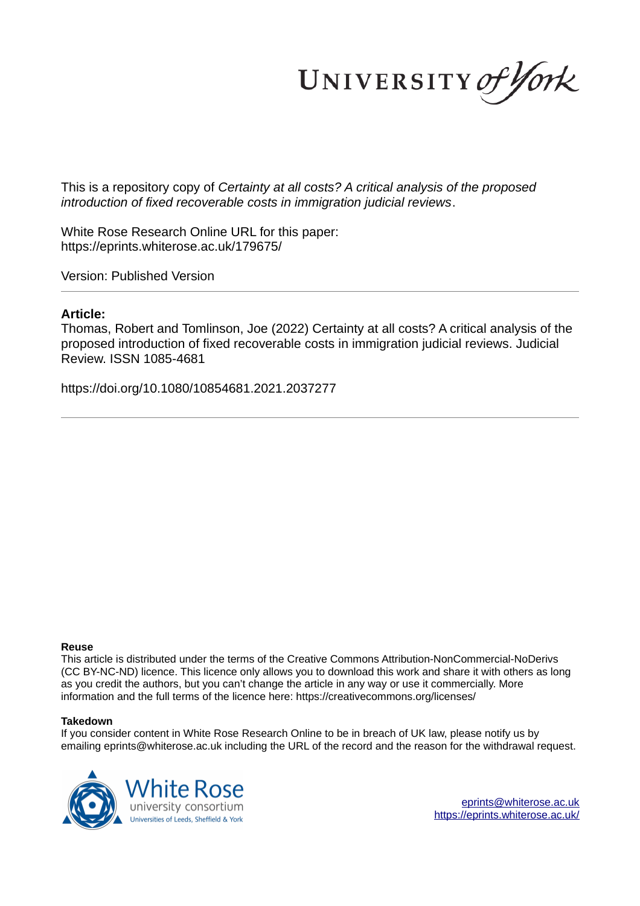UNIVERSITY of York

This is a repository copy of *Certainty at all costs? A critical analysis of the proposed introduction of fixed recoverable costs in immigration judicial reviews*.

White Rose Research Online URL for this paper: https://eprints.whiterose.ac.uk/179675/

Version: Published Version

## **Article:**

Thomas, Robert and Tomlinson, Joe (2022) Certainty at all costs? A critical analysis of the proposed introduction of fixed recoverable costs in immigration judicial reviews. Judicial Review. ISSN 1085-4681

https://doi.org/10.1080/10854681.2021.2037277

#### **Reuse**

This article is distributed under the terms of the Creative Commons Attribution-NonCommercial-NoDerivs (CC BY-NC-ND) licence. This licence only allows you to download this work and share it with others as long as you credit the authors, but you can't change the article in any way or use it commercially. More information and the full terms of the licence here: https://creativecommons.org/licenses/

### **Takedown**

If you consider content in White Rose Research Online to be in breach of UK law, please notify us by emailing eprints@whiterose.ac.uk including the URL of the record and the reason for the withdrawal request.



eprints@whiterose.ac.uk https://eprints.whiterose.ac.uk/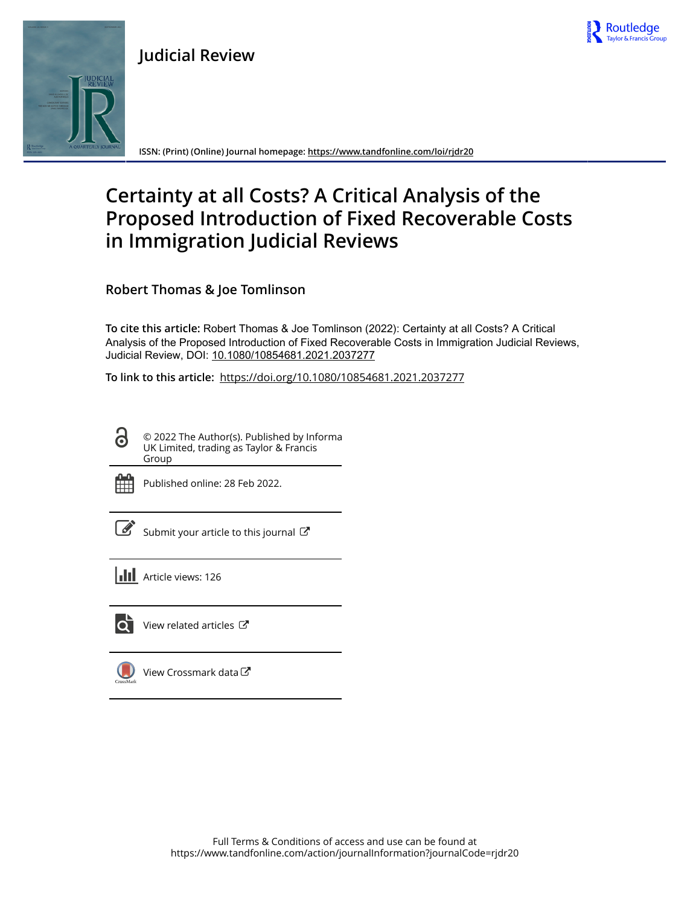



**ISSN: (Print) (Online) Journal homepage: https://www.tandfonline.com/loi/rjdr20**

# **Certainty at all Costs? A Critical Analysis of the Proposed Introduction of Fixed Recoverable Costs in Immigration Judicial Reviews**

Routledge

**Robert Thomas & Joe Tomlinson**

**To cite this article:** Robert Thomas & Joe Tomlinson (2022): Certainty at all Costs? A Critical Analysis of the Proposed Introduction of Fixed Recoverable Costs in Immigration Judicial Reviews, Judicial Review, DOI: 10.1080/10854681.2021.2037277

**To link to this article:** https://doi.org/10.1080/10854681.2021.2037277

© 2022 The Author(s). Published by Informa UK Limited, trading as Taylor & Francis Group



Published online: 28 Feb 2022.

Submit your article to this journal  $\mathbb{Z}$ 

**III** Article views: 126



 $\bullet$  View related articles  $\circ$ 

View Crossmark data $\mathbb{Z}$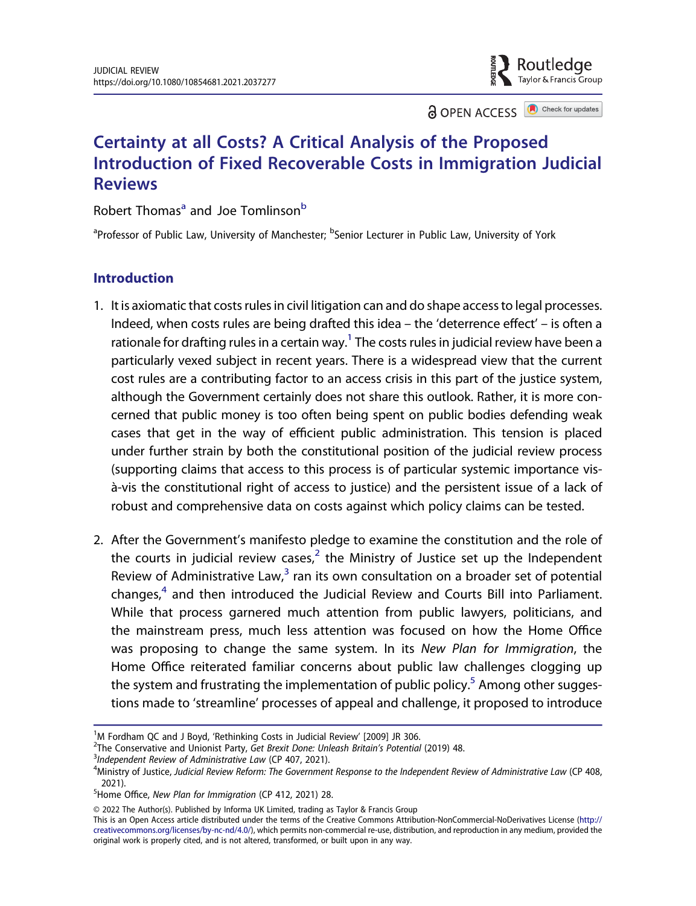**a** OPEN ACCESS **a** Check for updates

Routledae

## Certainty at all Costs? A Critical Analysis of the Proposed Introduction of Fixed Recoverable Costs in Immigration Judicial Reviews

Robert Thomas<sup>a</sup> and Joe Tomlinson<sup>b</sup>

<sup>a</sup>Professor of Public Law, University of Manchester; <sup>b</sup>Senior Lecturer in Public Law, University of York

## Introduction

- 1. It is axiomatic that costs rules in civil litigation can and do shape access to legal processes. Indeed, when costs rules are being drafted this idea – the 'deterrence effect' – is often a rationale for drafting rules in a certain way. $^{\rm 1}$  The costs rules in judicial review have been a particularly vexed subject in recent years. There is a widespread view that the current cost rules are a contributing factor to an access crisis in this part of the justice system, although the Government certainly does not share this outlook. Rather, it is more concerned that public money is too often being spent on public bodies defending weak cases that get in the way of efficient public administration. This tension is placed under further strain by both the constitutional position of the judicial review process (supporting claims that access to this process is of particular systemic importance visà-vis the constitutional right of access to justice) and the persistent issue of a lack of robust and comprehensive data on costs against which policy claims can be tested.
- 2. After the Government's manifesto pledge to examine the constitution and the role of the courts in judicial review cases, $^2$  the Ministry of Justice set up the Independent Review of Administrative Law, $3$  ran its own consultation on a broader set of potential changes,<sup>4</sup> and then introduced the Judicial Review and Courts Bill into Parliament. While that process garnered much attention from public lawyers, politicians, and the mainstream press, much less attention was focused on how the Home Office was proposing to change the same system. In its New Plan for Immigration, the Home Office reiterated familiar concerns about public law challenges clogging up the system and frustrating the implementation of public policy.<sup>5</sup> Among other suggestions made to 'streamline' processes of appeal and challenge, it proposed to introduce

<sup>3</sup>Independent Review of Administrative Law (CP 407, 2021).

© 2022 The Author(s). Published by Informa UK Limited, trading as Taylor & Francis Group

This is an Open Access article distributed under the terms of the Creative Commons Attribution-NonCommercial-NoDerivatives License (http:// creativecommons.org/licenses/by-nc-nd/4.0/), which permits non-commercial re-use, distribution, and reproduction in any medium, provided the original work is properly cited, and is not altered, transformed, or built upon in any way.

 $1$ M Fordham QC and J Boyd, 'Rethinking Costs in Judicial Review' [2009] JR 306.

<sup>&</sup>lt;sup>2</sup>The Conservative and Unionist Party, Get Brexit Done: Unleash Britain's Potential (2019) 48.

<sup>4</sup>Ministry of Justice, Judicial Review Reform: The Government Response to the Independent Review of Administrative Law (CP 408, 2021).

<sup>&</sup>lt;sup>5</sup>Home Office, New Plan for Immigration (CP 412, 2021) 28.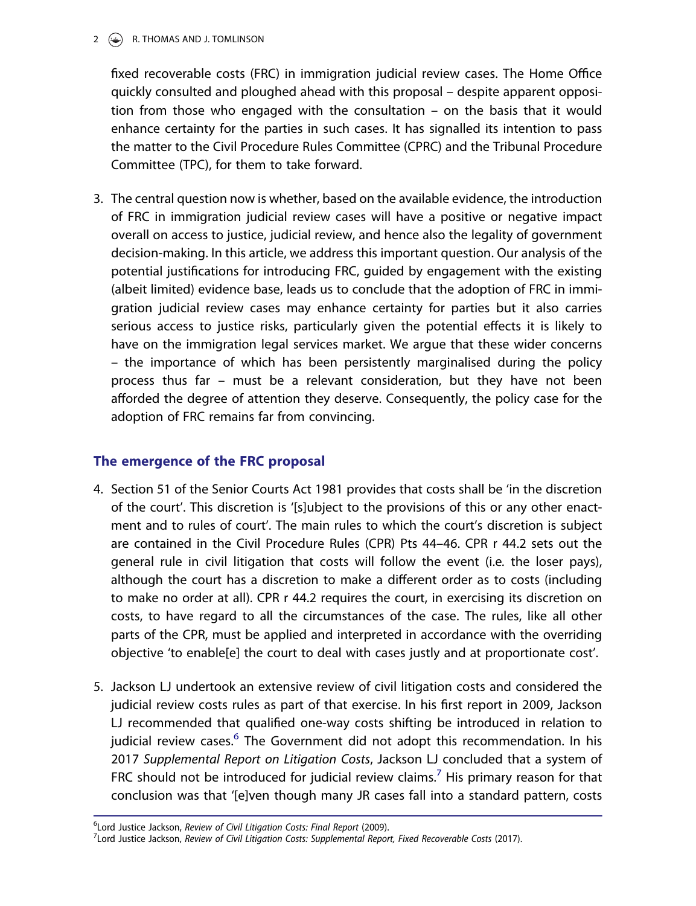### $2 \quad \Leftrightarrow \quad R$ . THOMAS AND J. TOMLINSON

fixed recoverable costs (FRC) in immigration judicial review cases. The Home Office quickly consulted and ploughed ahead with this proposal – despite apparent opposition from those who engaged with the consultation – on the basis that it would enhance certainty for the parties in such cases. It has signalled its intention to pass the matter to the Civil Procedure Rules Committee (CPRC) and the Tribunal Procedure Committee (TPC), for them to take forward.

3. The central question now is whether, based on the available evidence, the introduction of FRC in immigration judicial review cases will have a positive or negative impact overall on access to justice, judicial review, and hence also the legality of government decision-making. In this article, we address this important question. Our analysis of the potential justifications for introducing FRC, guided by engagement with the existing (albeit limited) evidence base, leads us to conclude that the adoption of FRC in immigration judicial review cases may enhance certainty for parties but it also carries serious access to justice risks, particularly given the potential effects it is likely to have on the immigration legal services market. We argue that these wider concerns – the importance of which has been persistently marginalised during the policy process thus far – must be a relevant consideration, but they have not been afforded the degree of attention they deserve. Consequently, the policy case for the adoption of FRC remains far from convincing.

## The emergence of the FRC proposal

- 4. Section 51 of the Senior Courts Act 1981 provides that costs shall be 'in the discretion of the court'. This discretion is '[s]ubject to the provisions of this or any other enactment and to rules of court'. The main rules to which the court's discretion is subject are contained in the Civil Procedure Rules (CPR) Pts 44–46. CPR r 44.2 sets out the general rule in civil litigation that costs will follow the event (i.e. the loser pays), although the court has a discretion to make a different order as to costs (including to make no order at all). CPR r 44.2 requires the court, in exercising its discretion on costs, to have regard to all the circumstances of the case. The rules, like all other parts of the CPR, must be applied and interpreted in accordance with the overriding objective 'to enable[e] the court to deal with cases justly and at proportionate cost'.
- 5. Jackson LJ undertook an extensive review of civil litigation costs and considered the judicial review costs rules as part of that exercise. In his first report in 2009, Jackson LJ recommended that qualified one-way costs shifting be introduced in relation to judicial review cases.<sup>6</sup> The Government did not adopt this recommendation. In his 2017 Supplemental Report on Litigation Costs, Jackson LJ concluded that a system of FRC should not be introduced for judicial review claims.<sup>7</sup> His primary reason for that conclusion was that '[e]ven though many JR cases fall into a standard pattern, costs

<sup>&</sup>lt;sup>6</sup>Lord Justice Jackson, Review of Civil Litigation Costs: Final Report (2009).

<sup>&</sup>lt;sup>7</sup>Lord Justice Jackson, Review of Civil Litigation Costs: Supplemental Report, Fixed Recoverable Costs (2017).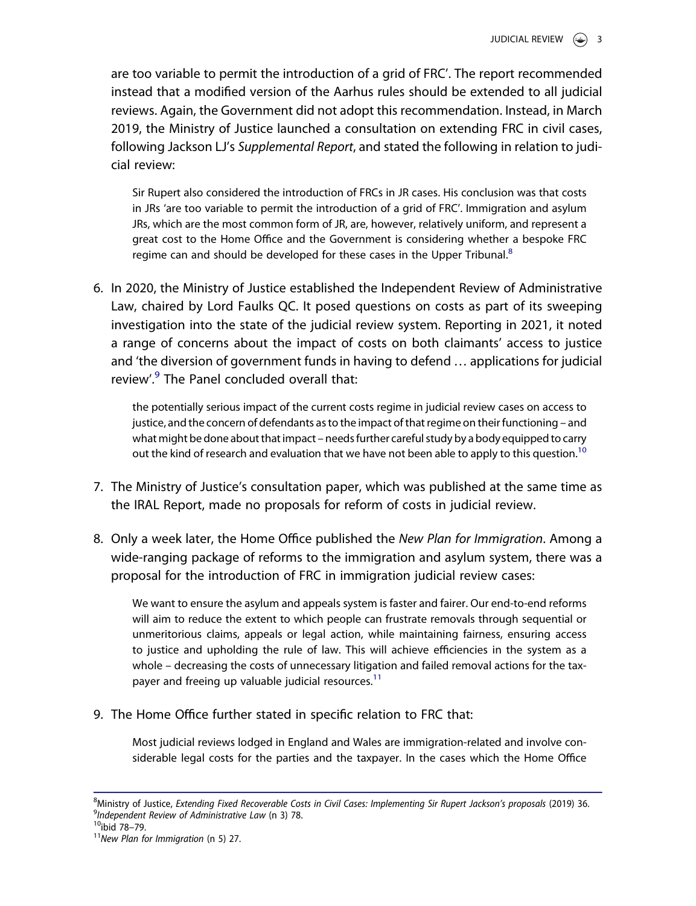are too variable to permit the introduction of a grid of FRC'. The report recommended instead that a modified version of the Aarhus rules should be extended to all judicial reviews. Again, the Government did not adopt this recommendation. Instead, in March 2019, the Ministry of Justice launched a consultation on extending FRC in civil cases, following Jackson LJ's Supplemental Report, and stated the following in relation to judicial review:

Sir Rupert also considered the introduction of FRCs in JR cases. His conclusion was that costs in JRs 'are too variable to permit the introduction of a grid of FRC'. Immigration and asylum JRs, which are the most common form of JR, are, however, relatively uniform, and represent a great cost to the Home Office and the Government is considering whether a bespoke FRC regime can and should be developed for these cases in the Upper Tribunal.<sup>8</sup>

6. In 2020, the Ministry of Justice established the Independent Review of Administrative Law, chaired by Lord Faulks QC. It posed questions on costs as part of its sweeping investigation into the state of the judicial review system. Reporting in 2021, it noted a range of concerns about the impact of costs on both claimants' access to justice and 'the diversion of government funds in having to defend … applications for judicial review'.<sup>9</sup> The Panel concluded overall that:

the potentially serious impact of the current costs regime in judicial review cases on access to justice, and the concern of defendants as to the impact of that regime on their functioning – and what might be done about that impact – needs further careful study by a body equipped to carry out the kind of research and evaluation that we have not been able to apply to this question.<sup>10</sup>

- 7. The Ministry of Justice's consultation paper, which was published at the same time as the IRAL Report, made no proposals for reform of costs in judicial review.
- 8. Only a week later, the Home Office published the New Plan for Immigration. Among a wide-ranging package of reforms to the immigration and asylum system, there was a proposal for the introduction of FRC in immigration judicial review cases:

We want to ensure the asylum and appeals system is faster and fairer. Our end-to-end reforms will aim to reduce the extent to which people can frustrate removals through sequential or unmeritorious claims, appeals or legal action, while maintaining fairness, ensuring access to justice and upholding the rule of law. This will achieve efficiencies in the system as a whole – decreasing the costs of unnecessary litigation and failed removal actions for the taxpayer and freeing up valuable judicial resources. $11$ 

9. The Home Office further stated in specific relation to FRC that:

Most judicial reviews lodged in England and Wales are immigration-related and involve considerable legal costs for the parties and the taxpayer. In the cases which the Home Office

<sup>&</sup>lt;sup>8</sup>Ministry of Justice, Extending Fixed Recoverable Costs in Civil Cases: Implementing Sir Rupert Jackson's proposals (2019) 36. <sup>9</sup>Independent Review of Administrative Law (n 3) 78.

<sup>10</sup>ibid 78–79.

 $11$ New Plan for Immigration (n 5) 27.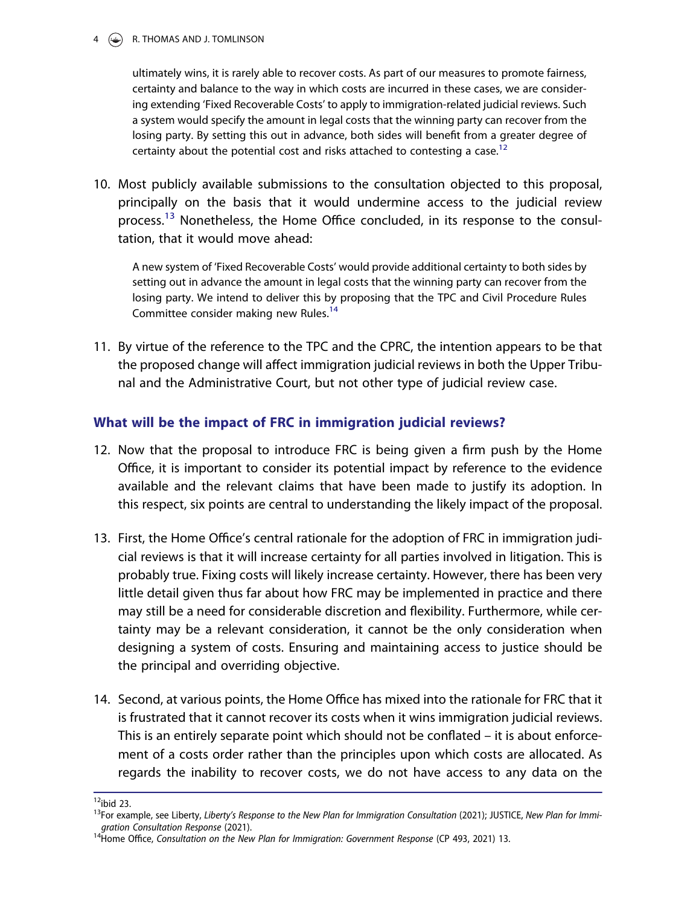#### $\circledcirc$  R. THOMAS AND J. TOMLINSON

ultimately wins, it is rarely able to recover costs. As part of our measures to promote fairness, certainty and balance to the way in which costs are incurred in these cases, we are considering extending 'Fixed Recoverable Costs' to apply to immigration-related judicial reviews. Such a system would specify the amount in legal costs that the winning party can recover from the losing party. By setting this out in advance, both sides will benefit from a greater degree of certainty about the potential cost and risks attached to contesting a case.<sup>12</sup>

10. Most publicly available submissions to the consultation objected to this proposal, principally on the basis that it would undermine access to the judicial review process.<sup>13</sup> Nonetheless, the Home Office concluded, in its response to the consultation, that it would move ahead:

A new system of 'Fixed Recoverable Costs' would provide additional certainty to both sides by setting out in advance the amount in legal costs that the winning party can recover from the losing party. We intend to deliver this by proposing that the TPC and Civil Procedure Rules Committee consider making new Rules.<sup>14</sup>

11. By virtue of the reference to the TPC and the CPRC, the intention appears to be that the proposed change will affect immigration judicial reviews in both the Upper Tribunal and the Administrative Court, but not other type of judicial review case.

## What will be the impact of FRC in immigration judicial reviews?

- 12. Now that the proposal to introduce FRC is being given a firm push by the Home Office, it is important to consider its potential impact by reference to the evidence available and the relevant claims that have been made to justify its adoption. In this respect, six points are central to understanding the likely impact of the proposal.
- 13. First, the Home Office's central rationale for the adoption of FRC in immigration judicial reviews is that it will increase certainty for all parties involved in litigation. This is probably true. Fixing costs will likely increase certainty. However, there has been very little detail given thus far about how FRC may be implemented in practice and there may still be a need for considerable discretion and flexibility. Furthermore, while certainty may be a relevant consideration, it cannot be the only consideration when designing a system of costs. Ensuring and maintaining access to justice should be the principal and overriding objective.
- 14. Second, at various points, the Home Office has mixed into the rationale for FRC that it is frustrated that it cannot recover its costs when it wins immigration judicial reviews. This is an entirely separate point which should not be conflated – it is about enforcement of a costs order rather than the principles upon which costs are allocated. As regards the inability to recover costs, we do not have access to any data on the

 $12$ ibid 23.

<sup>13</sup>For example, see Liberty, Liberty's Response to the New Plan for Immigration Consultation (2021); JUSTICE, New Plan for Immigration Consultation Response (2021).

<sup>14</sup>Home Office, Consultation on the New Plan for Immigration: Government Response (CP 493, 2021) 13.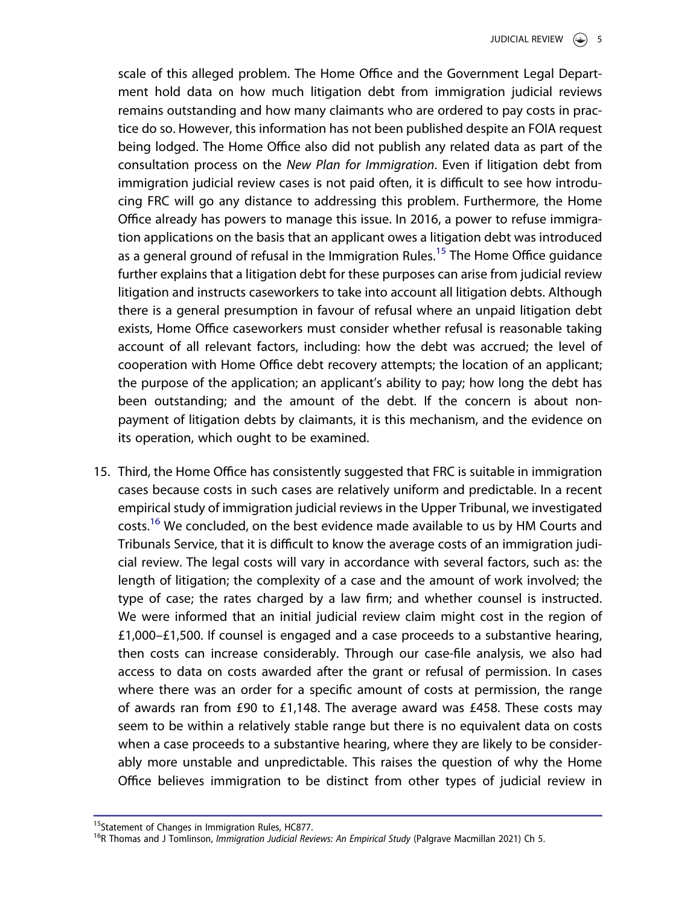scale of this alleged problem. The Home Office and the Government Legal Department hold data on how much litigation debt from immigration judicial reviews remains outstanding and how many claimants who are ordered to pay costs in practice do so. However, this information has not been published despite an FOIA request being lodged. The Home Office also did not publish any related data as part of the consultation process on the New Plan for Immigration. Even if litigation debt from immigration judicial review cases is not paid often, it is difficult to see how introducing FRC will go any distance to addressing this problem. Furthermore, the Home Office already has powers to manage this issue. In 2016, a power to refuse immigration applications on the basis that an applicant owes a litigation debt was introduced as a general ground of refusal in the Immigration Rules.<sup>15</sup> The Home Office guidance further explains that a litigation debt for these purposes can arise from judicial review litigation and instructs caseworkers to take into account all litigation debts. Although there is a general presumption in favour of refusal where an unpaid litigation debt exists, Home Office caseworkers must consider whether refusal is reasonable taking account of all relevant factors, including: how the debt was accrued; the level of cooperation with Home Office debt recovery attempts; the location of an applicant; the purpose of the application; an applicant's ability to pay; how long the debt has been outstanding; and the amount of the debt. If the concern is about nonpayment of litigation debts by claimants, it is this mechanism, and the evidence on its operation, which ought to be examined.

15. Third, the Home Office has consistently suggested that FRC is suitable in immigration cases because costs in such cases are relatively uniform and predictable. In a recent empirical study of immigration judicial reviews in the Upper Tribunal, we investigated costs.<sup>16</sup> We concluded, on the best evidence made available to us by HM Courts and Tribunals Service, that it is difficult to know the average costs of an immigration judicial review. The legal costs will vary in accordance with several factors, such as: the length of litigation; the complexity of a case and the amount of work involved; the type of case; the rates charged by a law firm; and whether counsel is instructed. We were informed that an initial judicial review claim might cost in the region of £1,000–£1,500. If counsel is engaged and a case proceeds to a substantive hearing, then costs can increase considerably. Through our case-file analysis, we also had access to data on costs awarded after the grant or refusal of permission. In cases where there was an order for a specific amount of costs at permission, the range of awards ran from £90 to £1,148. The average award was £458. These costs may seem to be within a relatively stable range but there is no equivalent data on costs when a case proceeds to a substantive hearing, where they are likely to be considerably more unstable and unpredictable. This raises the question of why the Home Office believes immigration to be distinct from other types of judicial review in

<sup>&</sup>lt;sup>15</sup>Statement of Changes in Immigration Rules, HC877.

<sup>&</sup>lt;sup>16</sup>R Thomas and J Tomlinson, Immigration Judicial Reviews: An Empirical Study (Palgrave Macmillan 2021) Ch 5.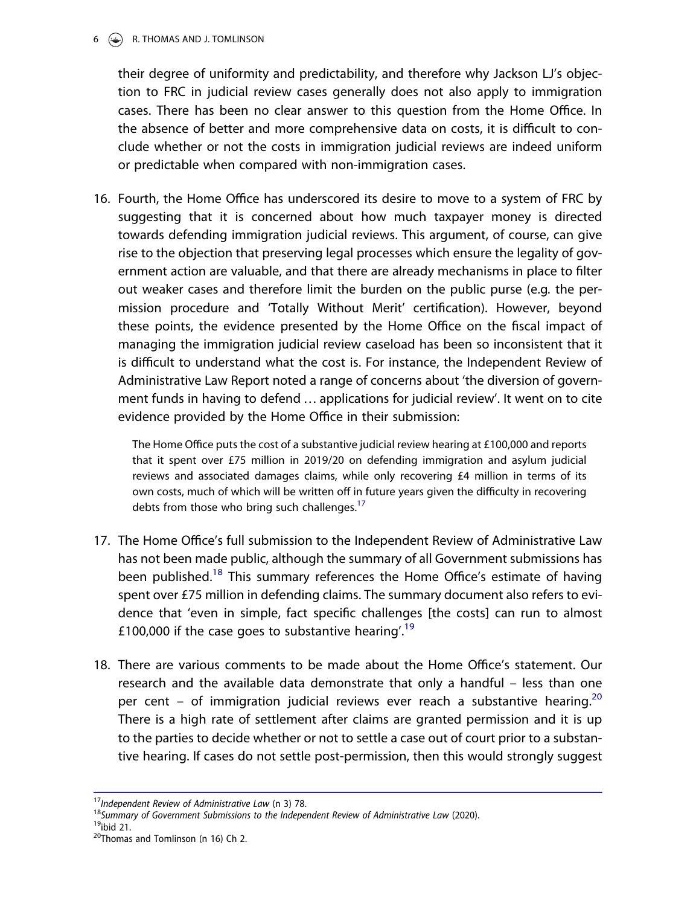#### 6 R. THOMAS AND J. TOMLINSON

their degree of uniformity and predictability, and therefore why Jackson LJ's objection to FRC in judicial review cases generally does not also apply to immigration cases. There has been no clear answer to this question from the Home Office. In the absence of better and more comprehensive data on costs, it is difficult to conclude whether or not the costs in immigration judicial reviews are indeed uniform or predictable when compared with non-immigration cases.

16. Fourth, the Home Office has underscored its desire to move to a system of FRC by suggesting that it is concerned about how much taxpayer money is directed towards defending immigration judicial reviews. This argument, of course, can give rise to the objection that preserving legal processes which ensure the legality of government action are valuable, and that there are already mechanisms in place to filter out weaker cases and therefore limit the burden on the public purse (e.g. the permission procedure and 'Totally Without Merit' certification). However, beyond these points, the evidence presented by the Home Office on the fiscal impact of managing the immigration judicial review caseload has been so inconsistent that it is difficult to understand what the cost is. For instance, the Independent Review of Administrative Law Report noted a range of concerns about 'the diversion of government funds in having to defend … applications for judicial review'. It went on to cite evidence provided by the Home Office in their submission:

The Home Office puts the cost of a substantive judicial review hearing at £100,000 and reports that it spent over £75 million in 2019/20 on defending immigration and asylum judicial reviews and associated damages claims, while only recovering £4 million in terms of its own costs, much of which will be written off in future years given the difficulty in recovering debts from those who bring such challenges.<sup>17</sup>

- 17. The Home Office's full submission to the Independent Review of Administrative Law has not been made public, although the summary of all Government submissions has been published.<sup>18</sup> This summary references the Home Office's estimate of having spent over £75 million in defending claims. The summary document also refers to evidence that 'even in simple, fact specific challenges [the costs] can run to almost £100,000 if the case goes to substantive hearing'.<sup>19</sup>
- 18. There are various comments to be made about the Home Office's statement. Our research and the available data demonstrate that only a handful – less than one per cent – of immigration judicial reviews ever reach a substantive hearing.<sup>20</sup> There is a high rate of settlement after claims are granted permission and it is up to the parties to decide whether or not to settle a case out of court prior to a substantive hearing. If cases do not settle post-permission, then this would strongly suggest

 $19$ ibid 21.

<sup>&</sup>lt;sup>17</sup>Independent Review of Administrative Law (n 3) 78.

<sup>&</sup>lt;sup>18</sup>Summary of Government Submissions to the Independent Review of Administrative Law (2020).

<sup>&</sup>lt;sup>20</sup>Thomas and Tomlinson (n 16) Ch 2.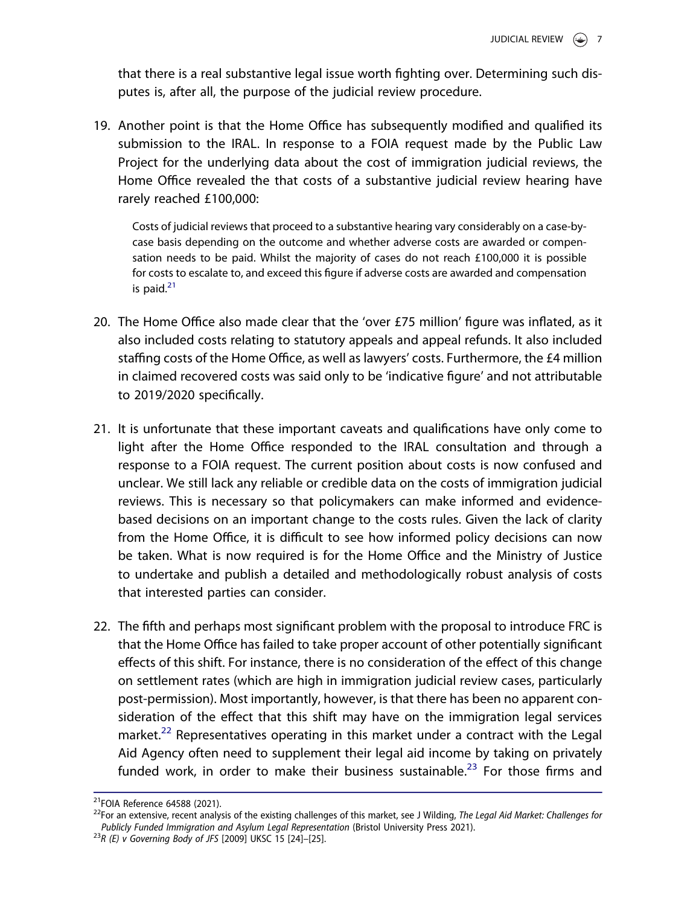that there is a real substantive legal issue worth fighting over. Determining such disputes is, after all, the purpose of the judicial review procedure.

19. Another point is that the Home Office has subsequently modified and qualified its submission to the IRAL. In response to a FOIA request made by the Public Law Project for the underlying data about the cost of immigration judicial reviews, the Home Office revealed the that costs of a substantive judicial review hearing have rarely reached £100,000:

Costs of judicial reviews that proceed to a substantive hearing vary considerably on a case-bycase basis depending on the outcome and whether adverse costs are awarded or compensation needs to be paid. Whilst the majority of cases do not reach £100,000 it is possible for costs to escalate to, and exceed this figure if adverse costs are awarded and compensation is paid. $21$ 

- 20. The Home Office also made clear that the 'over £75 million' figure was inflated, as it also included costs relating to statutory appeals and appeal refunds. It also included staffing costs of the Home Office, as well as lawyers' costs. Furthermore, the £4 million in claimed recovered costs was said only to be 'indicative figure' and not attributable to 2019/2020 specifically.
- 21. It is unfortunate that these important caveats and qualifications have only come to light after the Home Office responded to the IRAL consultation and through a response to a FOIA request. The current position about costs is now confused and unclear. We still lack any reliable or credible data on the costs of immigration judicial reviews. This is necessary so that policymakers can make informed and evidencebased decisions on an important change to the costs rules. Given the lack of clarity from the Home Office, it is difficult to see how informed policy decisions can now be taken. What is now required is for the Home Office and the Ministry of Justice to undertake and publish a detailed and methodologically robust analysis of costs that interested parties can consider.
- 22. The fifth and perhaps most significant problem with the proposal to introduce FRC is that the Home Office has failed to take proper account of other potentially significant effects of this shift. For instance, there is no consideration of the effect of this change on settlement rates (which are high in immigration judicial review cases, particularly post-permission). Most importantly, however, is that there has been no apparent consideration of the effect that this shift may have on the immigration legal services market.<sup>22</sup> Representatives operating in this market under a contract with the Legal Aid Agency often need to supplement their legal aid income by taking on privately funded work, in order to make their business sustainable.<sup>23</sup> For those firms and

<sup>21</sup>FOIA Reference 64588 (2021).

<sup>&</sup>lt;sup>22</sup>For an extensive, recent analysis of the existing challenges of this market, see J Wilding, The Legal Aid Market: Challenges for Publicly Funded Immigration and Asylum Legal Representation (Bristol University Press 2021).

 $^{23}R$  (E) v Governing Body of JFS [2009] UKSC 15 [24]-[25].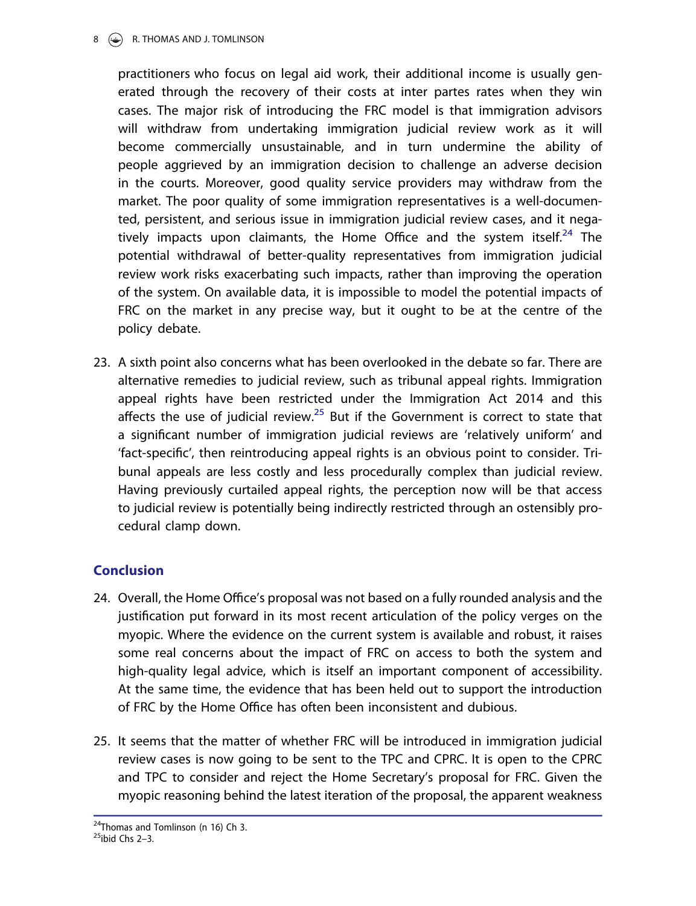#### 8 **C** R. THOMAS AND J. TOMLINSON

practitioners who focus on legal aid work, their additional income is usually generated through the recovery of their costs at inter partes rates when they win cases. The major risk of introducing the FRC model is that immigration advisors will withdraw from undertaking immigration judicial review work as it will become commercially unsustainable, and in turn undermine the ability of people aggrieved by an immigration decision to challenge an adverse decision in the courts. Moreover, good quality service providers may withdraw from the market. The poor quality of some immigration representatives is a well-documented, persistent, and serious issue in immigration judicial review cases, and it negatively impacts upon claimants, the Home Office and the system itself.<sup>24</sup> The potential withdrawal of better-quality representatives from immigration judicial review work risks exacerbating such impacts, rather than improving the operation of the system. On available data, it is impossible to model the potential impacts of FRC on the market in any precise way, but it ought to be at the centre of the policy debate.

23. A sixth point also concerns what has been overlooked in the debate so far. There are alternative remedies to judicial review, such as tribunal appeal rights. Immigration appeal rights have been restricted under the Immigration Act 2014 and this affects the use of judicial review. $25$  But if the Government is correct to state that a significant number of immigration judicial reviews are 'relatively uniform' and 'fact-specific', then reintroducing appeal rights is an obvious point to consider. Tribunal appeals are less costly and less procedurally complex than judicial review. Having previously curtailed appeal rights, the perception now will be that access to judicial review is potentially being indirectly restricted through an ostensibly procedural clamp down.

## Conclusion

- 24. Overall, the Home Office's proposal was not based on a fully rounded analysis and the justification put forward in its most recent articulation of the policy verges on the myopic. Where the evidence on the current system is available and robust, it raises some real concerns about the impact of FRC on access to both the system and high-quality legal advice, which is itself an important component of accessibility. At the same time, the evidence that has been held out to support the introduction of FRC by the Home Office has often been inconsistent and dubious.
- 25. It seems that the matter of whether FRC will be introduced in immigration judicial review cases is now going to be sent to the TPC and CPRC. It is open to the CPRC and TPC to consider and reject the Home Secretary's proposal for FRC. Given the myopic reasoning behind the latest iteration of the proposal, the apparent weakness

<sup>&</sup>lt;sup>24</sup>Thomas and Tomlinson (n 16) Ch 3.

 $25$ ibid Chs 2-3.